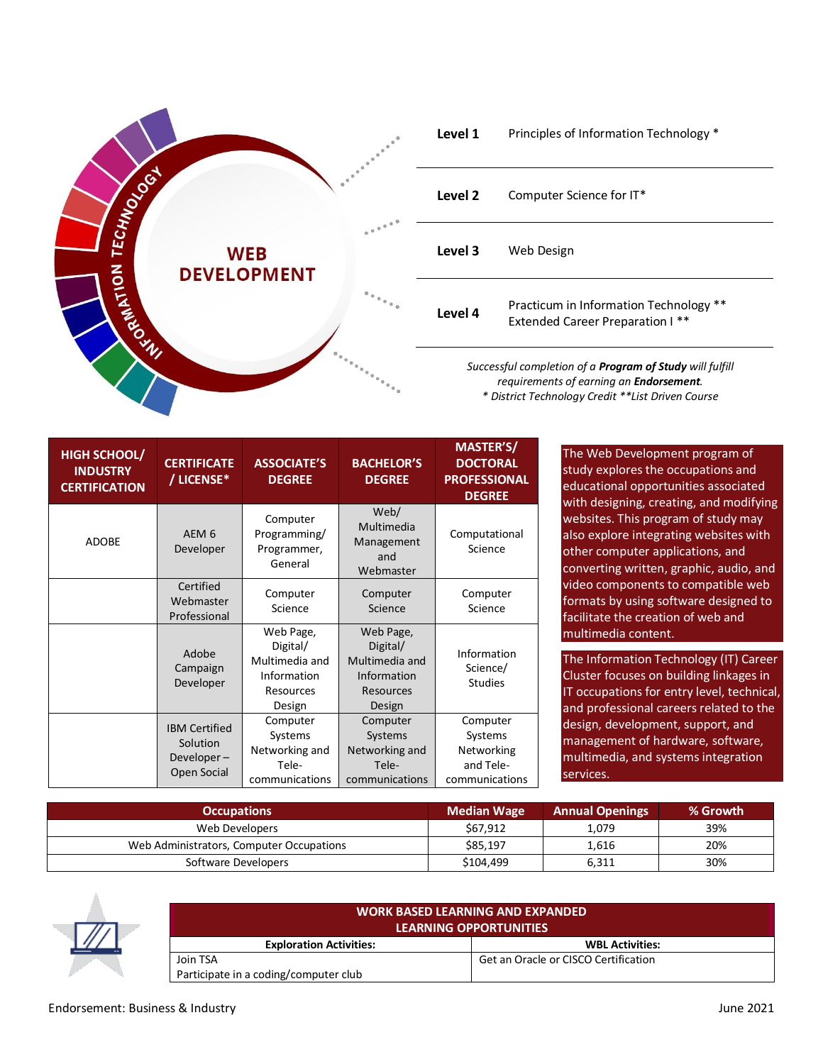

| Level 1                                                         | Principles of Information Technology *                                            |  |
|-----------------------------------------------------------------|-----------------------------------------------------------------------------------|--|
| Level 2                                                         | Computer Science for IT*                                                          |  |
| Level 3                                                         | Web Design                                                                        |  |
| Level 4                                                         | Practicum in Information Technology **<br><b>Extended Career Preparation I **</b> |  |
| Successful completion of a <b>Program of Study</b> will fulfill |                                                                                   |  |

*Successful completion of a Program of Study will fulfill requirements of earning an Endorsement. \* District Technology Credit \*\*List Driven Course*

| <b>HIGH SCHOOL/</b><br><b>INDUSTRY</b><br><b>CERTIFICATION</b> | <b>CERTIFICATE</b><br>/ LICENSE*                              | <b>ASSOCIATE'S</b><br><b>DEGREE</b>                                           | <b>BACHELOR'S</b><br><b>DEGREE</b>                                            | MASTER'S/<br><b>DOCTORAL</b><br><b>PROFESSIONAL</b><br><b>DEGREE</b> |
|----------------------------------------------------------------|---------------------------------------------------------------|-------------------------------------------------------------------------------|-------------------------------------------------------------------------------|----------------------------------------------------------------------|
| <b>ADOBE</b>                                                   | AEM <sub>6</sub><br>Developer                                 | Computer<br>Programming/<br>Programmer,<br>General                            | Web/<br>Multimedia<br>Management<br>and<br>Webmaster                          | Computational<br>Science                                             |
|                                                                | Certified<br>Webmaster<br>Professional                        | Computer<br>Science                                                           | Computer<br>Science                                                           | Computer<br>Science                                                  |
|                                                                | Adobe<br>Campaign<br>Developer                                | Web Page,<br>Digital/<br>Multimedia and<br>Information<br>Resources<br>Design | Web Page,<br>Digital/<br>Multimedia and<br>Information<br>Resources<br>Design | Information<br>Science/<br><b>Studies</b>                            |
|                                                                | <b>IBM Certified</b><br>Solution<br>Developer-<br>Open Social | Computer<br>Systems<br>Networking and<br>Tele-<br>communications              | Computer<br>Systems<br>Networking and<br>Tele-<br>communications              | Computer<br>Systems<br>Networking<br>and Tele-<br>communications     |

The Web Development program of study explores the occupations and educational opportunities associated with designing, creating, and modifying websites. This program of study may also explore integrating websites with other computer applications, and converting written, graphic, audio, and video components to compatible web formats by using software designed to facilitate the creation of web and multimedia content.

The Information Technology (IT) Career Cluster focuses on building linkages in IT occupations for entry level, technical, and professional careers related to the design, development, support, and management of hardware, software, multimedia, and systems integration services.

| <b>Occupations</b>                       | <b>Median Wage</b> | <b>Annual Openings</b> | % Growth |
|------------------------------------------|--------------------|------------------------|----------|
| Web Developers                           | \$67.912           | 1.079                  | 39%      |
| Web Administrators, Computer Occupations | \$85,197           | 1,616                  | 20%      |
| Software Developers                      | \$104.499          | 6,311                  | 30%      |



| <b>WORK BASED LEARNING AND EXPANDED</b><br><b>LEARNING OPPORTUNITIES</b> |                                      |  |  |  |  |
|--------------------------------------------------------------------------|--------------------------------------|--|--|--|--|
| <b>Exploration Activities:</b>                                           | <b>WBL Activities:</b>               |  |  |  |  |
| Join TSA                                                                 | Get an Oracle or CISCO Certification |  |  |  |  |
| Participate in a coding/computer club                                    |                                      |  |  |  |  |